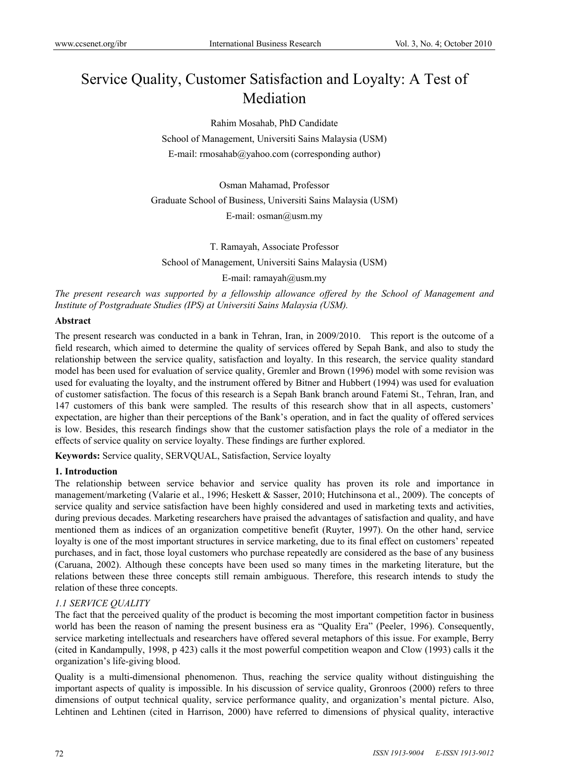# Service Quality, Customer Satisfaction and Loyalty: A Test of Mediation

Rahim Mosahab, PhD Candidate School of Management, Universiti Sains Malaysia (USM)

E-mail: rmosahab@yahoo.com (corresponding author)

Osman Mahamad, Professor Graduate School of Business, Universiti Sains Malaysia (USM) E-mail:  $osman@usm.mv$ 

T. Ramayah, Associate Professor School of Management, Universiti Sains Malaysia (USM)

E-mail: ramayah@usm.my

*The present research was supported by a fellowship allowance offered by the School of Management and Institute of Postgraduate Studies (IPS) at Universiti Sains Malaysia (USM).*

#### **Abstract**

The present research was conducted in a bank in Tehran, Iran, in 2009/2010. This report is the outcome of a field research, which aimed to determine the quality of services offered by Sepah Bank, and also to study the relationship between the service quality, satisfaction and loyalty. In this research, the service quality standard model has been used for evaluation of service quality, Gremler and Brown (1996) model with some revision was used for evaluating the loyalty, and the instrument offered by Bitner and Hubbert (1994) was used for evaluation of customer satisfaction. The focus of this research is a Sepah Bank branch around Fatemi St., Tehran, Iran, and 147 customers of this bank were sampled. The results of this research show that in all aspects, customers' expectation, are higher than their perceptions of the Bank's operation, and in fact the quality of offered services is low. Besides, this research findings show that the customer satisfaction plays the role of a mediator in the effects of service quality on service loyalty. These findings are further explored.

**Keywords:** Service quality, SERVQUAL, Satisfaction, Service loyalty

### **1. Introduction**

The relationship between service behavior and service quality has proven its role and importance in management/marketing (Valarie et al., 1996; Heskett & Sasser, 2010; Hutchinsona et al., 2009). The concepts of service quality and service satisfaction have been highly considered and used in marketing texts and activities, during previous decades. Marketing researchers have praised the advantages of satisfaction and quality, and have mentioned them as indices of an organization competitive benefit (Ruyter, 1997). On the other hand, service loyalty is one of the most important structures in service marketing, due to its final effect on customers' repeated purchases, and in fact, those loyal customers who purchase repeatedly are considered as the base of any business (Caruana, 2002). Although these concepts have been used so many times in the marketing literature, but the relations between these three concepts still remain ambiguous. Therefore, this research intends to study the relation of these three concepts.

### *1.1 SERVICE QUALITY*

The fact that the perceived quality of the product is becoming the most important competition factor in business world has been the reason of naming the present business era as "Quality Era" (Peeler, 1996). Consequently, service marketing intellectuals and researchers have offered several metaphors of this issue. For example, Berry (cited in Kandampully, 1998, p 423) calls it the most powerful competition weapon and Clow (1993) calls it the organization's life-giving blood.

Quality is a multi-dimensional phenomenon. Thus, reaching the service quality without distinguishing the important aspects of quality is impossible. In his discussion of service quality, Gronroos (2000) refers to three dimensions of output technical quality, service performance quality, and organization's mental picture. Also, Lehtinen and Lehtinen (cited in Harrison, 2000) have referred to dimensions of physical quality, interactive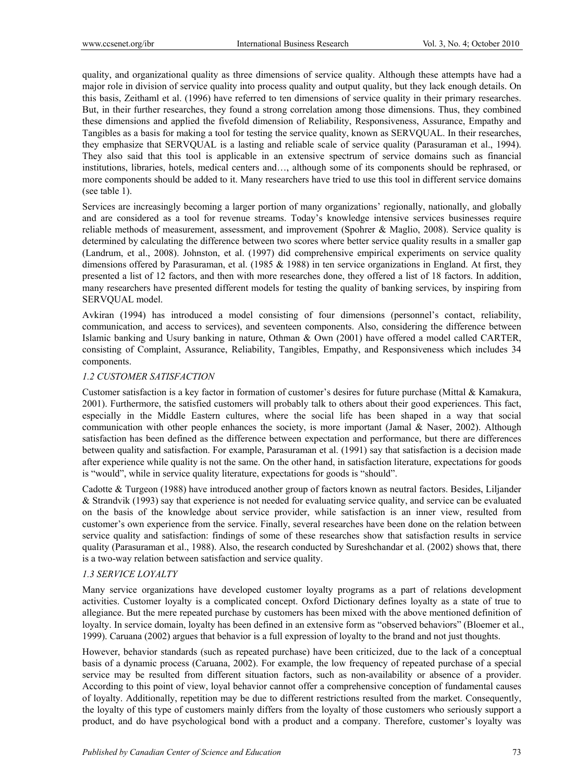quality, and organizational quality as three dimensions of service quality. Although these attempts have had a major role in division of service quality into process quality and output quality, but they lack enough details. On this basis, Zeithaml et al. (1996) have referred to ten dimensions of service quality in their primary researches. But, in their further researches, they found a strong correlation among those dimensions. Thus, they combined these dimensions and applied the fivefold dimension of Reliability, Responsiveness, Assurance, Empathy and Tangibles as a basis for making a tool for testing the service quality, known as SERVQUAL. In their researches, they emphasize that SERVQUAL is a lasting and reliable scale of service quality (Parasuraman et al., 1994). They also said that this tool is applicable in an extensive spectrum of service domains such as financial institutions, libraries, hotels, medical centers and…, although some of its components should be rephrased, or more components should be added to it. Many researchers have tried to use this tool in different service domains (see table 1).

Services are increasingly becoming a larger portion of many organizations' regionally, nationally, and globally and are considered as a tool for revenue streams. Today's knowledge intensive services businesses require reliable methods of measurement, assessment, and improvement (Spohrer & Maglio, 2008). Service quality is determined by calculating the difference between two scores where better service quality results in a smaller gap (Landrum, et al., 2008). Johnston, et al. (1997) did comprehensive empirical experiments on service quality dimensions offered by Parasuraman, et al. (1985 & 1988) in ten service organizations in England. At first, they presented a list of 12 factors, and then with more researches done, they offered a list of 18 factors. In addition, many researchers have presented different models for testing the quality of banking services, by inspiring from SERVQUAL model.

Avkiran (1994) has introduced a model consisting of four dimensions (personnel's contact, reliability, communication, and access to services), and seventeen components. Also, considering the difference between Islamic banking and Usury banking in nature, Othman & Own (2001) have offered a model called CARTER, consisting of Complaint, Assurance, Reliability, Tangibles, Empathy, and Responsiveness which includes 34 components.

## *1.2 CUSTOMER SATISFACTION*

Customer satisfaction is a key factor in formation of customer's desires for future purchase (Mittal & Kamakura, 2001). Furthermore, the satisfied customers will probably talk to others about their good experiences. This fact, especially in the Middle Eastern cultures, where the social life has been shaped in a way that social communication with other people enhances the society, is more important (Jamal & Naser, 2002). Although satisfaction has been defined as the difference between expectation and performance, but there are differences between quality and satisfaction. For example, Parasuraman et al. (1991) say that satisfaction is a decision made after experience while quality is not the same. On the other hand, in satisfaction literature, expectations for goods is "would", while in service quality literature, expectations for goods is "should".

Cadotte & Turgeon (1988) have introduced another group of factors known as neutral factors. Besides, Liljander & Strandvik (1993) say that experience is not needed for evaluating service quality, and service can be evaluated on the basis of the knowledge about service provider, while satisfaction is an inner view, resulted from customer's own experience from the service. Finally, several researches have been done on the relation between service quality and satisfaction: findings of some of these researches show that satisfaction results in service quality (Parasuraman et al., 1988). Also, the research conducted by Sureshchandar et al. (2002) shows that, there is a two-way relation between satisfaction and service quality.

### *1.3 SERVICE LOYALTY*

Many service organizations have developed customer loyalty programs as a part of relations development activities. Customer loyalty is a complicated concept. Oxford Dictionary defines loyalty as a state of true to allegiance. But the mere repeated purchase by customers has been mixed with the above mentioned definition of loyalty. In service domain, loyalty has been defined in an extensive form as "observed behaviors" (Bloemer et al., 1999). Caruana (2002) argues that behavior is a full expression of loyalty to the brand and not just thoughts.

However, behavior standards (such as repeated purchase) have been criticized, due to the lack of a conceptual basis of a dynamic process (Caruana, 2002). For example, the low frequency of repeated purchase of a special service may be resulted from different situation factors, such as non-availability or absence of a provider. According to this point of view, loyal behavior cannot offer a comprehensive conception of fundamental causes of loyalty. Additionally, repetition may be due to different restrictions resulted from the market. Consequently, the loyalty of this type of customers mainly differs from the loyalty of those customers who seriously support a product, and do have psychological bond with a product and a company. Therefore, customer's loyalty was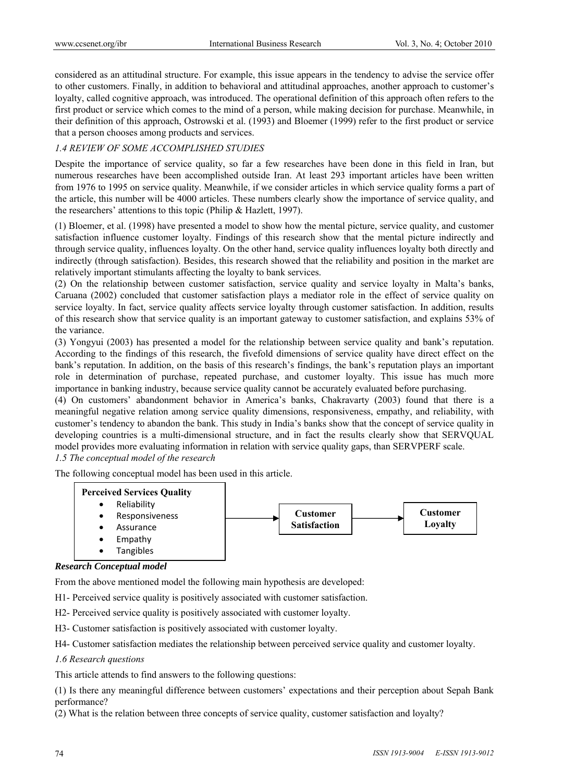considered as an attitudinal structure. For example, this issue appears in the tendency to advise the service offer to other customers. Finally, in addition to behavioral and attitudinal approaches, another approach to customer's loyalty, called cognitive approach, was introduced. The operational definition of this approach often refers to the first product or service which comes to the mind of a person, while making decision for purchase. Meanwhile, in their definition of this approach, Ostrowski et al. (1993) and Bloemer (1999) refer to the first product or service that a person chooses among products and services.

## *1.4 REVIEW OF SOME ACCOMPLISHED STUDIES*

Despite the importance of service quality, so far a few researches have been done in this field in Iran, but numerous researches have been accomplished outside Iran. At least 293 important articles have been written from 1976 to 1995 on service quality. Meanwhile, if we consider articles in which service quality forms a part of the article, this number will be 4000 articles. These numbers clearly show the importance of service quality, and the researchers' attentions to this topic (Philip & Hazlett, 1997).

(1) Bloemer, et al. (1998) have presented a model to show how the mental picture, service quality, and customer satisfaction influence customer loyalty. Findings of this research show that the mental picture indirectly and through service quality, influences loyalty. On the other hand, service quality influences loyalty both directly and indirectly (through satisfaction). Besides, this research showed that the reliability and position in the market are relatively important stimulants affecting the loyalty to bank services.

(2) On the relationship between customer satisfaction, service quality and service loyalty in Malta's banks, Caruana (2002) concluded that customer satisfaction plays a mediator role in the effect of service quality on service loyalty. In fact, service quality affects service loyalty through customer satisfaction. In addition, results of this research show that service quality is an important gateway to customer satisfaction, and explains 53% of the variance.

(3) Yongyui (2003) has presented a model for the relationship between service quality and bank's reputation. According to the findings of this research, the fivefold dimensions of service quality have direct effect on the bank's reputation. In addition, on the basis of this research's findings, the bank's reputation plays an important role in determination of purchase, repeated purchase, and customer loyalty. This issue has much more importance in banking industry, because service quality cannot be accurately evaluated before purchasing.

(4) On customers' abandonment behavior in America's banks, Chakravarty (2003) found that there is a meaningful negative relation among service quality dimensions, responsiveness, empathy, and reliability, with customer's tendency to abandon the bank. This study in India's banks show that the concept of service quality in developing countries is a multi-dimensional structure, and in fact the results clearly show that SERVQUAL model provides more evaluating information in relation with service quality gaps, than SERVPERF scale. *1.5 The conceptual model of the research*

The following conceptual model has been used in this article.



*Research Conceptual model* 

From the above mentioned model the following main hypothesis are developed:

H1- Perceived service quality is positively associated with customer satisfaction.

H2- Perceived service quality is positively associated with customer loyalty.

H3- Customer satisfaction is positively associated with customer loyalty.

H4- Customer satisfaction mediates the relationship between perceived service quality and customer loyalty.

#### *1.6 Research questions*

This article attends to find answers to the following questions:

(1) Is there any meaningful difference between customers' expectations and their perception about Sepah Bank performance?

(2) What is the relation between three concepts of service quality, customer satisfaction and loyalty?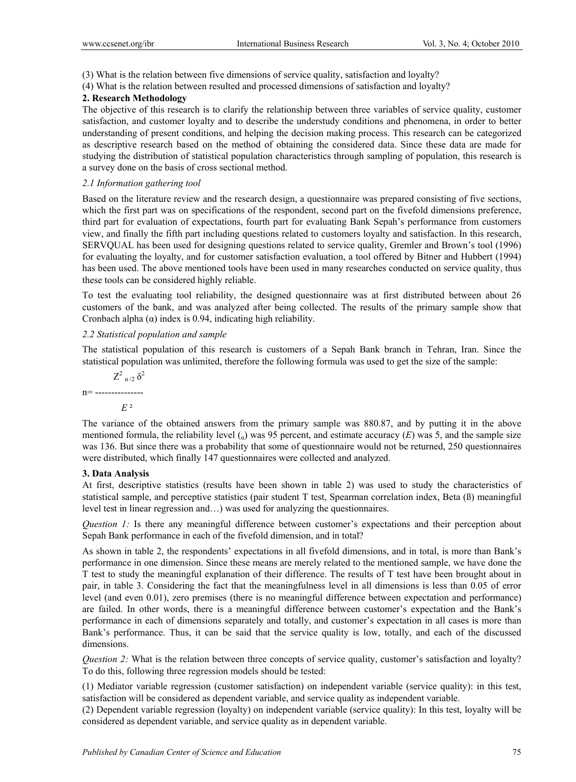(3) What is the relation between five dimensions of service quality, satisfaction and loyalty?

(4) What is the relation between resulted and processed dimensions of satisfaction and loyalty?

# **2. Research Methodology**

The objective of this research is to clarify the relationship between three variables of service quality, customer satisfaction, and customer loyalty and to describe the understudy conditions and phenomena, in order to better understanding of present conditions, and helping the decision making process. This research can be categorized as descriptive research based on the method of obtaining the considered data. Since these data are made for studying the distribution of statistical population characteristics through sampling of population, this research is a survey done on the basis of cross sectional method.

# *2.1 Information gathering tool*

Based on the literature review and the research design, a questionnaire was prepared consisting of five sections, which the first part was on specifications of the respondent, second part on the fivefold dimensions preference, third part for evaluation of expectations, fourth part for evaluating Bank Sepah's performance from customers view, and finally the fifth part including questions related to customers loyalty and satisfaction. In this research, SERVQUAL has been used for designing questions related to service quality, Gremler and Brown's tool (1996) for evaluating the loyalty, and for customer satisfaction evaluation, a tool offered by Bitner and Hubbert (1994) has been used. The above mentioned tools have been used in many researches conducted on service quality, thus these tools can be considered highly reliable.

To test the evaluating tool reliability, the designed questionnaire was at first distributed between about 26 customers of the bank, and was analyzed after being collected. The results of the primary sample show that Cronbach alpha  $(\alpha)$  index is 0.94, indicating high reliability.

# *2.2 Statistical population and sample*

The statistical population of this research is customers of a Sepah Bank branch in Tehran, Iran. Since the statistical population was unlimited, therefore the following formula was used to get the size of the sample:

 $Z^2$  α/2 δ<sup>2</sup> n= ---------------

 $E<sup>2</sup>$ 

The variance of the obtained answers from the primary sample was 880.87, and by putting it in the above mentioned formula, the reliability level  $\binom{a}{a}$  was 95 percent, and estimate accuracy  $\binom{E}{b}$  was 5, and the sample size was 136. But since there was a probability that some of questionnaire would not be returned, 250 questionnaires were distributed, which finally 147 questionnaires were collected and analyzed.

## **3. Data Analysis**

At first, descriptive statistics (results have been shown in table 2) was used to study the characteristics of statistical sample, and perceptive statistics (pair student T test, Spearman correlation index, Beta (ß) meaningful level test in linear regression and…) was used for analyzing the questionnaires.

*Question 1:* Is there any meaningful difference between customer's expectations and their perception about Sepah Bank performance in each of the fivefold dimension, and in total?

As shown in table 2, the respondents' expectations in all fivefold dimensions, and in total, is more than Bank's performance in one dimension. Since these means are merely related to the mentioned sample, we have done the T test to study the meaningful explanation of their difference. The results of T test have been brought about in pair, in table 3. Considering the fact that the meaningfulness level in all dimensions is less than 0.05 of error level (and even 0.01), zero premises (there is no meaningful difference between expectation and performance) are failed. In other words, there is a meaningful difference between customer's expectation and the Bank's performance in each of dimensions separately and totally, and customer's expectation in all cases is more than Bank's performance. Thus, it can be said that the service quality is low, totally, and each of the discussed dimensions.

*Question 2:* What is the relation between three concepts of service quality, customer's satisfaction and loyalty? To do this, following three regression models should be tested:

(1) Mediator variable regression (customer satisfaction) on independent variable (service quality): in this test, satisfaction will be considered as dependent variable, and service quality as independent variable.

(2) Dependent variable regression (loyalty) on independent variable (service quality): In this test, loyalty will be considered as dependent variable, and service quality as in dependent variable.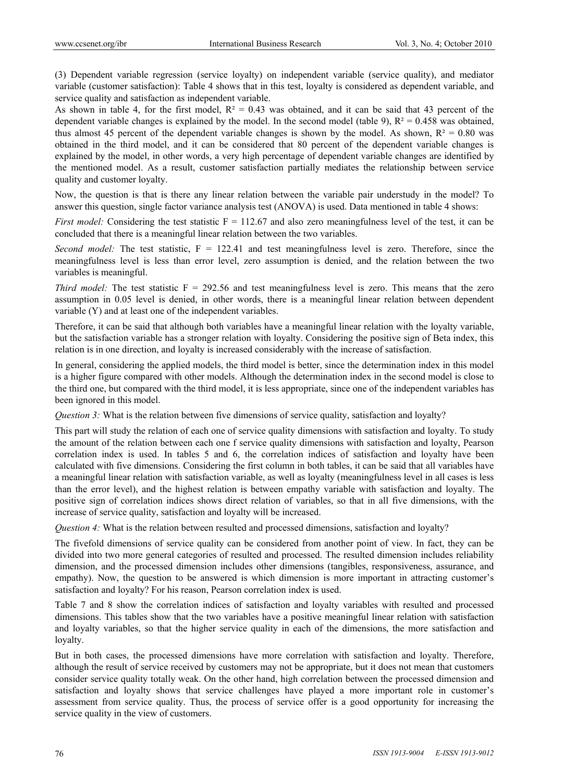(3) Dependent variable regression (service loyalty) on independent variable (service quality), and mediator variable (customer satisfaction): Table 4 shows that in this test, loyalty is considered as dependent variable, and service quality and satisfaction as independent variable.

As shown in table 4, for the first model,  $R^2 = 0.43$  was obtained, and it can be said that 43 percent of the dependent variable changes is explained by the model. In the second model (table 9),  $R^2 = 0.458$  was obtained, thus almost 45 percent of the dependent variable changes is shown by the model. As shown,  $R^2 = 0.80$  was obtained in the third model, and it can be considered that 80 percent of the dependent variable changes is explained by the model, in other words, a very high percentage of dependent variable changes are identified by the mentioned model. As a result, customer satisfaction partially mediates the relationship between service quality and customer loyalty.

Now, the question is that is there any linear relation between the variable pair understudy in the model? To answer this question, single factor variance analysis test (ANOVA) is used. Data mentioned in table 4 shows:

*First model:* Considering the test statistic  $F = 112.67$  and also zero meaningfulness level of the test, it can be concluded that there is a meaningful linear relation between the two variables.

*Second model:* The test statistic,  $F = 122.41$  and test meaningfulness level is zero. Therefore, since the meaningfulness level is less than error level, zero assumption is denied, and the relation between the two variables is meaningful.

*Third model:* The test statistic  $F = 292.56$  and test meaningfulness level is zero. This means that the zero assumption in 0.05 level is denied, in other words, there is a meaningful linear relation between dependent variable (Y) and at least one of the independent variables.

Therefore, it can be said that although both variables have a meaningful linear relation with the loyalty variable, but the satisfaction variable has a stronger relation with loyalty. Considering the positive sign of Beta index, this relation is in one direction, and loyalty is increased considerably with the increase of satisfaction.

In general, considering the applied models, the third model is better, since the determination index in this model is a higher figure compared with other models. Although the determination index in the second model is close to the third one, but compared with the third model, it is less appropriate, since one of the independent variables has been ignored in this model.

*Question 3:* What is the relation between five dimensions of service quality, satisfaction and loyalty?

This part will study the relation of each one of service quality dimensions with satisfaction and loyalty. To study the amount of the relation between each one f service quality dimensions with satisfaction and loyalty, Pearson correlation index is used. In tables 5 and 6, the correlation indices of satisfaction and loyalty have been calculated with five dimensions. Considering the first column in both tables, it can be said that all variables have a meaningful linear relation with satisfaction variable, as well as loyalty (meaningfulness level in all cases is less than the error level), and the highest relation is between empathy variable with satisfaction and loyalty. The positive sign of correlation indices shows direct relation of variables, so that in all five dimensions, with the increase of service quality, satisfaction and loyalty will be increased.

*Question 4:* What is the relation between resulted and processed dimensions, satisfaction and loyalty?

The fivefold dimensions of service quality can be considered from another point of view. In fact, they can be divided into two more general categories of resulted and processed. The resulted dimension includes reliability dimension, and the processed dimension includes other dimensions (tangibles, responsiveness, assurance, and empathy). Now, the question to be answered is which dimension is more important in attracting customer's satisfaction and loyalty? For his reason, Pearson correlation index is used.

Table 7 and 8 show the correlation indices of satisfaction and loyalty variables with resulted and processed dimensions. This tables show that the two variables have a positive meaningful linear relation with satisfaction and loyalty variables, so that the higher service quality in each of the dimensions, the more satisfaction and loyalty.

But in both cases, the processed dimensions have more correlation with satisfaction and loyalty. Therefore, although the result of service received by customers may not be appropriate, but it does not mean that customers consider service quality totally weak. On the other hand, high correlation between the processed dimension and satisfaction and loyalty shows that service challenges have played a more important role in customer's assessment from service quality. Thus, the process of service offer is a good opportunity for increasing the service quality in the view of customers.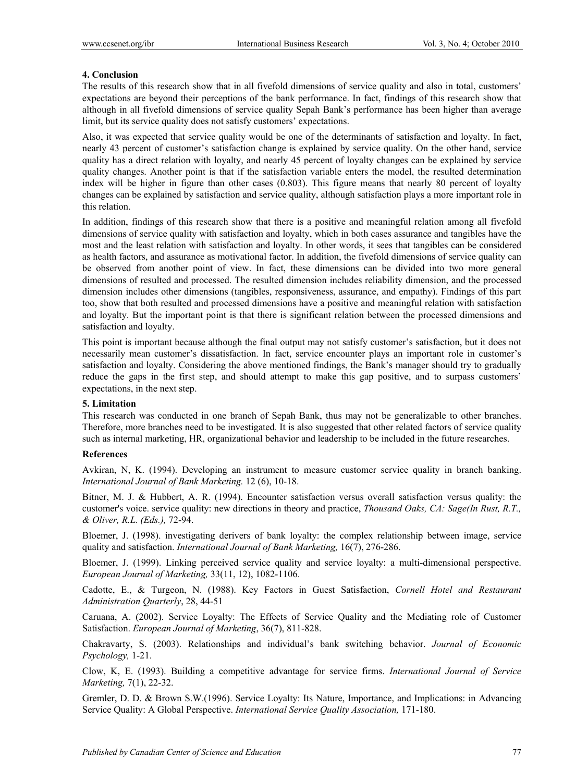## **4. Conclusion**

The results of this research show that in all fivefold dimensions of service quality and also in total, customers' expectations are beyond their perceptions of the bank performance. In fact, findings of this research show that although in all fivefold dimensions of service quality Sepah Bank's performance has been higher than average limit, but its service quality does not satisfy customers' expectations.

Also, it was expected that service quality would be one of the determinants of satisfaction and loyalty. In fact, nearly 43 percent of customer's satisfaction change is explained by service quality. On the other hand, service quality has a direct relation with loyalty, and nearly 45 percent of loyalty changes can be explained by service quality changes. Another point is that if the satisfaction variable enters the model, the resulted determination index will be higher in figure than other cases (0.803). This figure means that nearly 80 percent of loyalty changes can be explained by satisfaction and service quality, although satisfaction plays a more important role in this relation.

In addition, findings of this research show that there is a positive and meaningful relation among all fivefold dimensions of service quality with satisfaction and loyalty, which in both cases assurance and tangibles have the most and the least relation with satisfaction and loyalty. In other words, it sees that tangibles can be considered as health factors, and assurance as motivational factor. In addition, the fivefold dimensions of service quality can be observed from another point of view. In fact, these dimensions can be divided into two more general dimensions of resulted and processed. The resulted dimension includes reliability dimension, and the processed dimension includes other dimensions (tangibles, responsiveness, assurance, and empathy). Findings of this part too, show that both resulted and processed dimensions have a positive and meaningful relation with satisfaction and loyalty. But the important point is that there is significant relation between the processed dimensions and satisfaction and loyalty.

This point is important because although the final output may not satisfy customer's satisfaction, but it does not necessarily mean customer's dissatisfaction. In fact, service encounter plays an important role in customer's satisfaction and loyalty. Considering the above mentioned findings, the Bank's manager should try to gradually reduce the gaps in the first step, and should attempt to make this gap positive, and to surpass customers' expectations, in the next step.

### **5. Limitation**

This research was conducted in one branch of Sepah Bank, thus may not be generalizable to other branches. Therefore, more branches need to be investigated. It is also suggested that other related factors of service quality such as internal marketing, HR, organizational behavior and leadership to be included in the future researches.

### **References**

Avkiran, N, K. (1994). Developing an instrument to measure customer service quality in branch banking. *International Journal of Bank Marketing.* 12 (6), 10-18.

Bitner, M. J. & Hubbert, A. R. (1994). Encounter satisfaction versus overall satisfaction versus quality: the customer's voice. service quality: new directions in theory and practice, *Thousand Oaks, CA: Sage(In Rust, R.T., & Oliver, R.L. (Eds.),* 72-94.

Bloemer, J. (1998). investigating derivers of bank loyalty: the complex relationship between image, service quality and satisfaction. *International Journal of Bank Marketing,* 16(7), 276-286.

Bloemer, J. (1999). Linking perceived service quality and service loyalty: a multi-dimensional perspective. *European Journal of Marketing,* 33(11, 12), 1082-1106.

Cadotte, E., & Turgeon, N. (1988). Key Factors in Guest Satisfaction, *Cornell Hotel and Restaurant Administration Quarterly*, 28, 44-51

Caruana, A. (2002). Service Loyalty: The Effects of Service Quality and the Mediating role of Customer Satisfaction. *European Journal of Marketing*, 36(7), 811-828.

Chakravarty, S. (2003). Relationships and individual's bank switching behavior. *Journal of Economic Psychology,* 1-21.

Clow, K, E. (1993). Building a competitive advantage for service firms. *International Journal of Service Marketing,* 7(1), 22-32.

Gremler, D. D. & Brown S.W.(1996). Service Loyalty: Its Nature, Importance, and Implications: in Advancing Service Quality: A Global Perspective. *International Service Quality Association,* 171-180.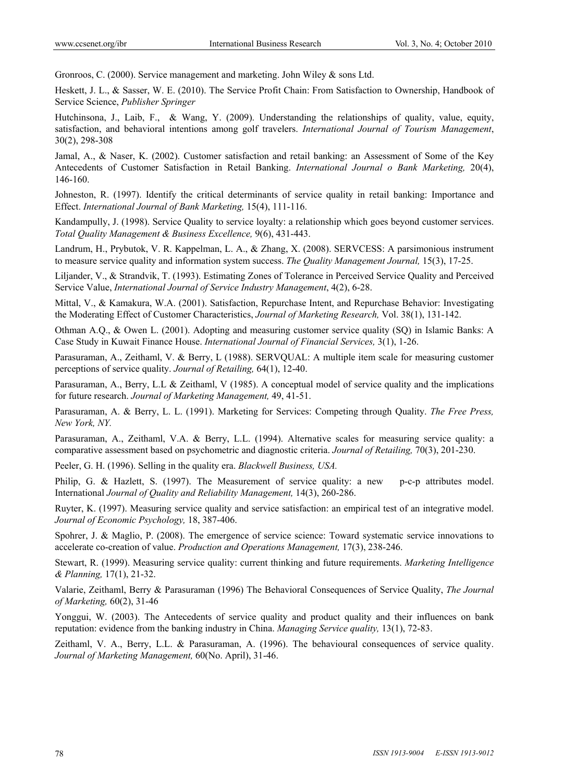Gronroos, C. (2000). Service management and marketing. John Wiley & sons Ltd.

Heskett, J. L., & Sasser, W. E. (2010). The Service Profit Chain: From Satisfaction to Ownership, Handbook of Service Science, *Publisher Springer*

Hutchinsona, J., Laib, F., & Wang, Y. (2009). Understanding the relationships of quality, value, equity, satisfaction, and behavioral intentions among golf travelers. *International Journal of Tourism Management*, 30(2), 298-308

Jamal, A., & Naser, K. (2002). Customer satisfaction and retail banking: an Assessment of Some of the Key Antecedents of Customer Satisfaction in Retail Banking. *International Journal o Bank Marketing,* 20(4), 146-160.

Johneston, R. (1997). Identify the critical determinants of service quality in retail banking: Importance and Effect. *International Journal of Bank Marketing,* 15(4), 111-116.

Kandampully, J. (1998). Service Quality to service loyalty: a relationship which goes beyond customer services. *Total Quality Management & Business Excellence,* 9(6), 431-443.

Landrum, H., Prybutok, V. R. Kappelman, L. A., & Zhang, X. (2008). SERVCESS: A parsimonious instrument to measure service quality and information system success. *The Quality Management Journal,* 15(3), 17-25.

Liljander, V., & Strandvik, T. (1993). Estimating Zones of Tolerance in Perceived Service Quality and Perceived Service Value, *International Journal of Service Industry Management*, 4(2), 6-28.

Mittal, V., & Kamakura, W.A. (2001). Satisfaction, Repurchase Intent, and Repurchase Behavior: Investigating the Moderating Effect of Customer Characteristics, *Journal of Marketing Research,* Vol. 38(1), 131-142.

Othman A.Q., & Owen L. (2001). Adopting and measuring customer service quality (SQ) in Islamic Banks: A Case Study in Kuwait Finance House. *International Journal of Financial Services,* 3(1), 1-26.

Parasuraman, A., Zeithaml, V. & Berry, L (1988). SERVQUAL: A multiple item scale for measuring customer perceptions of service quality. *Journal of Retailing,* 64(1), 12-40.

Parasuraman, A., Berry, L.L & Zeithaml, V (1985). A conceptual model of service quality and the implications for future research. *Journal of Marketing Management,* 49, 41-51.

Parasuraman, A. & Berry, L. L. (1991). Marketing for Services: Competing through Quality. *The Free Press, New York, NY.* 

Parasuraman, A., Zeithaml, V.A. & Berry, L.L. (1994). Alternative scales for measuring service quality: a comparative assessment based on psychometric and diagnostic criteria. *Journal of Retailing,* 70(3), 201-230.

Peeler, G. H. (1996). Selling in the quality era. *Blackwell Business, USA.* 

Philip, G. & Hazlett, S. (1997). The Measurement of service quality: a new p-c-p attributes model. International *Journal of Quality and Reliability Management,* 14(3), 260-286.

Ruyter, K. (1997). Measuring service quality and service satisfaction: an empirical test of an integrative model. *Journal of Economic Psychology,* 18, 387-406.

Spohrer, J. & Maglio, P. (2008). The emergence of service science: Toward systematic service innovations to accelerate co-creation of value. *Production and Operations Management,* 17(3), 238-246.

Stewart, R. (1999). Measuring service quality: current thinking and future requirements. *Marketing Intelligence & Planning,* 17(1), 21-32.

Valarie, Zeithaml, Berry & Parasuraman (1996) The Behavioral Consequences of Service Quality, *The Journal of Marketing,* 60(2), 31-46

Yonggui, W. (2003). The Antecedents of service quality and product quality and their influences on bank reputation: evidence from the banking industry in China. *Managing Service quality,* 13(1), 72-83.

Zeithaml, V. A., Berry, L.L. & Parasuraman, A. (1996). The behavioural consequences of service quality. *Journal of Marketing Management,* 60(No. April), 31-46.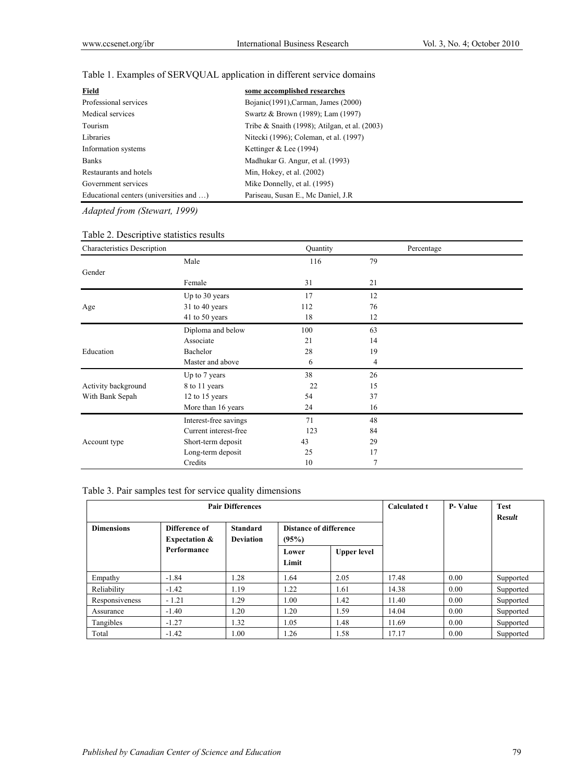# Table 1. Examples of SERVQUAL application in different service domains

| <b>Field</b>                            | some accomplished researches                  |
|-----------------------------------------|-----------------------------------------------|
| Professional services                   | Bojanic (1991), Carman, James (2000)          |
| Medical services                        | Swartz & Brown (1989); Lam (1997)             |
| Tourism                                 | Tribe & Snaith (1998); Atilgan, et al. (2003) |
| Libraries                               | Nitecki (1996); Coleman, et al. (1997)        |
| Information systems                     | Kettinger $&$ Lee (1994)                      |
| <b>Banks</b>                            | Madhukar G. Angur, et al. (1993)              |
| Restaurants and hotels                  | Min, Hokey, et al. (2002)                     |
| Government services                     | Mike Donnelly, et al. (1995)                  |
| Educational centers (universities and ) | Pariseau, Susan E., Mc Daniel, J.R.           |

*Adapted from (Stewart, 1999)*

## Table 2. Descriptive statistics results

| Characteristics Description |                       | Quantity |    | Percentage |  |
|-----------------------------|-----------------------|----------|----|------------|--|
|                             | Male                  | 116      | 79 |            |  |
| Gender                      |                       |          |    |            |  |
|                             | Female                | 31       | 21 |            |  |
|                             | Up to 30 years        | 17       | 12 |            |  |
| Age                         | 31 to 40 years        | 112      | 76 |            |  |
|                             | 41 to 50 years        | 18       | 12 |            |  |
|                             | Diploma and below     | 100      | 63 |            |  |
|                             | Associate             | 21       | 14 |            |  |
| Education                   | Bachelor              | 28       | 19 |            |  |
|                             | Master and above      | 6        | 4  |            |  |
|                             | Up to 7 years         | 38       | 26 |            |  |
| Activity background         | 8 to 11 years         | 22       | 15 |            |  |
| With Bank Sepah             | 12 to 15 years        | 54       | 37 |            |  |
|                             | More than 16 years    | 24       | 16 |            |  |
|                             | Interest-free savings | 71       | 48 |            |  |
|                             | Current interest-free | 123      | 84 |            |  |
| Account type                | Short-term deposit    | 43       | 29 |            |  |
|                             | Long-term deposit     | 25       | 17 |            |  |
|                             | Credits               | 10       | 7  |            |  |

# Table 3. Pair samples test for service quality dimensions

| <b>Pair Differences</b> |                                           |                                     |                                 | <b>Calculated t</b> | <b>P-Value</b> | <b>Test</b><br>Result |           |
|-------------------------|-------------------------------------------|-------------------------------------|---------------------------------|---------------------|----------------|-----------------------|-----------|
| <b>Dimensions</b>       | Difference of<br><b>Expectation &amp;</b> | <b>Standard</b><br><b>Deviation</b> | Distance of difference<br>(95%) |                     |                |                       |           |
|                         | Performance                               |                                     | Lower<br>Limit                  | <b>Upper level</b>  |                |                       |           |
| Empathy                 | $-1.84$                                   | 1.28                                | 1.64                            | 2.05                | 17.48          | 0.00                  | Supported |
| Reliability             | $-1.42$                                   | 1.19                                | 1.22                            | 1.61                | 14.38          | 0.00                  | Supported |
| Responsiveness          | $-1.21$                                   | 1.29                                | 1.00                            | 1.42                | 11.40          | 0.00                  | Supported |
| Assurance               | $-1.40$                                   | 1.20                                | 1.20                            | 1.59                | 14.04          | 0.00                  | Supported |
| Tangibles               | $-1.27$                                   | 1.32                                | 1.05                            | 1.48                | 11.69          | 0.00                  | Supported |
| Total                   | $-1.42$                                   | 1.00                                | .26                             | 1.58                | 17.17          | 0.00                  | Supported |